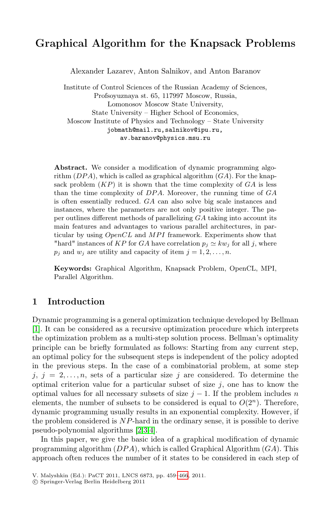# $\Gamma$  and  $\Gamma$

Alexander Lazarev, Anton Salnikov, and Anton Baranov

Institute of Control Sciences of the Russian Academy of Sciences, Profsoyuznaya st. 65, 117997 Moscow, Russia, Lomonosov Moscow State University, State University – Higher School of Economics, Moscow Institute of Physics and Technology – State University jobmath@mail.ru,salnikov@ipu.ru, av.baranov@physics.msu.ru

Abstract. We consider a modification of dynamic programming algorithm  $(DPA)$ , which is called as graphical algorithm  $(GA)$ . For the knapsack problem  $(KP)$  it is shown that the time complexity of  $GA$  is less than the time complexity of  $DPA$ . Moreover, the running time of  $GA$ is often essentially reduced. GA can also solve big scale instances and instances, where the parameters are not only positive integer. The paper outlines different methods of parallelizing GA taking into account its main features and advantages to various parallel architectures, in particular by using OpenCL and MPI framework. Experiments show that "hard" instances of KP for GA have correlation  $p_j \simeq kw_j$  for all j, where  $p_j$  and  $w_j$  are utility and capacity of item  $j = 1, 2, \ldots, n$ .

Keywords: Graphical Algorithm, Knapsack Problem, OpenCL, MPI, Parallel Algorithm.

# 1 Introduction

Dynamic programming is a general optimization technique developed by Bellman [1]. It can be considered as a recursive optimization procedure which interprets the optimization problem as a multi-step solution process. Bellman's optimality principle can be briefly formulated as follows: Starting from any current step, an optimal [po](#page-7-0)[li](#page-7-1)[cy](#page-7-2) for the subsequent steps is independent of the policy adopted in the previous steps. In the case of a combinatorial problem, at some step  $j, j = 2,...,n$ , sets of a particular size j are considered. To determine the optimal criterion value for a particular subset of size  $j$ , one has to know the optimal values for all necessary subsets of size  $j - 1$ . If the problem includes n elements, the number of [sub](#page-7-3)sets to be considered is equal to  $O(2^n)$ . Therefore, dynamic programming usually results in an exponential complexity. However, if the problem considered is  $NP$ -hard in the ordinary sense, it is possible to derive pseudo-polynomial algorithms [2,3,4].

In this paper, we give the basic idea of a graphical modification of dynamic programming algorithm  $(DPA)$ , which is called Graphical Algorithm  $(GA)$ . This approach often reduces the number of it states to be considered in each step of

V. Malyshkin (Ed.): PaCT 2011, LNCS 6873, pp. 459–466, 2011.

<sup>-</sup>c Springer-Verlag Berlin Heidelberg 2011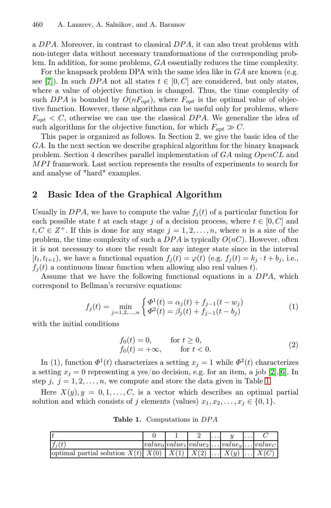#### 460 A. Lazarev, A. Salnikov, and A. Baranov

a  $DPA$ . Moreover, in contrast to classical  $DPA$ , it can also treat problems with non-integer data without necessary transformations of the corresponding problem. In addition, for some problems, GA essentially reduces the time complexity.

For the knapsack problem DPA with the same idea like in GA are known (e.g. see [7]). In such DPA not all states  $t \in [0, C]$  are considered, but only states, where a value of objective function is changed. Thus, the time complexity of such DPA is bounded by  $O(nF_{opt})$ , where  $F_{opt}$  is the optimal value of objective function. However, these algorithms can be useful only for problems, where  $F_{opt} < C$ , otherwise we can use the classical DPA. We generalize the idea of such algorithms for the objective function, for which  $F_{opt} \gg C$ .

This paper is organized as follows. In Section 2, we give the basic idea of the GA. In the next section we describe graphical algorithm for the binary knapsack problem. Section 4 describes parallel implementation of GA using OpenCL and MPI framework. Last section represents the results of experiments to search for and analyse of "hard" examples.

## 2 Basic Idea of the Graphical Algorithm

Usually in DPA, we have to compute the value  $f_i(t)$  of a particular function for each possible state t at each stage j of a decision process, where  $t \in [0, C]$  and  $t, C \in \mathbb{Z}^+$ . If this is done for any stage  $j = 1, 2, ..., n$ , where n is a size of the problem, the time complexity of such a  $DPA$  is typically  $O(nC)$ . However, often it is not necessary to store the result for any integer state since in the interval  $[t_l, t_{l+1})$ , we have a functional equation  $f_j(t) = \varphi(t)$  (e.g.  $f_j(t) = k_j \cdot t + b_j$ , i.e.,  $f_i(t)$  a continuous linear function when allowing also real values t).

Assume that we have the following functional equations in a DPA, which correspond to Bellman's recursive equations:

$$
f_j(t) = \min_{j=1,2,\dots,n} \begin{cases} \Phi^1(t) = \alpha_j(t) + f_{j-1}(t - w_j) \\ \Phi^2(t) = \beta_j(t) + f_{j-1}(t - b_j) \end{cases}
$$
 (1)

with the initial conditions

<span id="page-1-0"></span>
$$
f_0(t) = 0, \qquad \text{for } t \ge 0,
$$
  
\n
$$
f_0(t) = +\infty, \qquad \text{for } t < 0.
$$
 (2)

In (1), function  $\Phi^1(t)$  characterizes a setting  $x_i = 1$  while  $\Phi^2(t)$  characterizes a setting  $x_i = 0$  representing a yes/no decision, e.g. for an item, a job [2], [6]. In step j,  $j = 1, 2, \ldots, n$ , we compute and store the data given in Table 1.

Here  $X(y)$ ,  $y = 0, 1, \ldots, C$ , is a vector which describes an optimal partial solution and which consists of j elements (values)  $x_1, x_2, \ldots, x_j \in \{0, 1\}.$ 

Table 1. Computations in  $DPA$ 

| $f_i(t)$                                                                                                                                    |  |  |  | $ value_0  value_1  value_2   value_v   value_C $ |
|---------------------------------------------------------------------------------------------------------------------------------------------|--|--|--|---------------------------------------------------|
| optimal partial solution $X(t)$ $\overline{X(0)}$ $\overline{X(1)}$ $\overline{X(2)}$ $\ldots$ $\overline{X(y)}$ $\ldots$ $\overline{X(C)}$ |  |  |  |                                                   |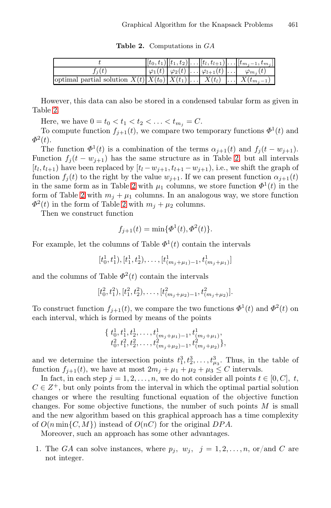<span id="page-2-0"></span>

|                                                                                             |  |  | $[[t_0, t_1][t_1, t_2)] \dots [[t_l, t_{l+1})] \dots [[t_{m_j-1}, t_{m_j}]]$        |
|---------------------------------------------------------------------------------------------|--|--|-------------------------------------------------------------------------------------|
| $f_i(t)$                                                                                    |  |  | $ \varphi_1(t)  \varphi_2(t)   \ldots  \varphi_{l+1}(t)  \ldots   \varphi_{m_i}(t)$ |
| optimal partial solution $X(t)   X(t_0)   X(t_1)   \dots   X(t_l)   \dots   X(t_{m_i-1})  $ |  |  |                                                                                     |

However, this data can also be stored in a condensed tabular form as given in Table 2.

H[e](#page-2-0)re, we [h](#page-2-0)ave  $0 = t_0 < t_1 < t_2 < \ldots < t_{m_j} = C$ .

To c[om](#page-2-0)pute function  $f_{j+1}(t)$ , we compare two temporary functions  $\Phi^1(t)$  and  $\Phi^2(t)$ .

The function  $\Phi^1(t)$  is a combination of the terms  $\alpha_{j+1}(t)$  and  $f_j(t - w_{j+1})$ . Function  $f_j(t - w_{j+1})$  has the same structure as in Table 2, but all intervals  $[t_l, t_{l+1})$  have been replaced by  $[t_l - w_{j+1}, t_{l+1} - w_{j+1})$ , i.e., we shift the graph of function  $f_i(t)$  to the right by the value  $w_{i+1}$ . If we can present function  $\alpha_{i+1}(t)$ in the same form as in Table 2 with  $\mu_1$  columns, we store function  $\Phi^1(t)$  in the form of Table 2 with  $m_j + \mu_1$  columns. In an analogous way, we store function  $\Phi^2(t)$  in the form of Table 2 with  $m_j + \mu_2$  columns.

Then we construct function

$$
f_{j+1}(t) = \min\{\Phi^1(t), \Phi^2(t)\}.
$$

For example, let the columns of Table  $\Phi^1(t)$  contain the intervals

 $[t_0^1, t_1^1], [t_1^1, t_2^1), \ldots, [t_{(m_j + \mu_1) - 1}^1, t_{(m_j + \mu_1)}^1]$ 

and the columns of Table  $\Phi^2(t)$  contain the intervals

$$
[t_0^2, t_1^2), [t_1^2, t_2^2), \ldots, [t_{(m_j+\mu_2)-1}^2, t_{(m_j+\mu_2)}^2].
$$

To construct function  $f_{i+1}(t)$ , we compare the two functions  $\Phi^1(t)$  and  $\Phi^2(t)$  on each interval, which is formed by means of the points

$$
\{\,t_0^1, t_1^1, t_2^1, \ldots, t_{(m_j + \mu_1) - 1}^1, t_{(m_j + \mu_1)}^1, \n t_0^2, t_1^2, t_2^2, \ldots, t_{(m_j + \mu_2) - 1}^2, t_{(m_j + \mu_2)}^2\},
$$

and we determine the intersection points  $t_1^3, t_2^3, \ldots, t_{\mu_3}^3$ . Thus, in the table of function  $f_{j+1}(t)$ , we have at most  $2m_j + \mu_1 + \mu_2 + \mu_3 \leq C$  intervals.

In fact, in each step  $j = 1, 2, ..., n$ , we do not consider all points  $t \in [0, C]$ , t,  $C \in \mathbb{Z}^+$ , but only points from the interval in which the optimal partial solution changes or where the resulting functional equation of the objective function changes. For some objective functions, the number of such points  $M$  is small and the new algorithm based on this graphical approach has a time complexity of  $O(n \min\{C, M\})$  instead of  $O(nC)$  for the original DPA.

Moreover, such an approach has some other advantages.

1. The GA can solve instances, where  $p_j$ ,  $w_j$ ,  $j = 1, 2, \ldots, n$ , or/and C are not integer.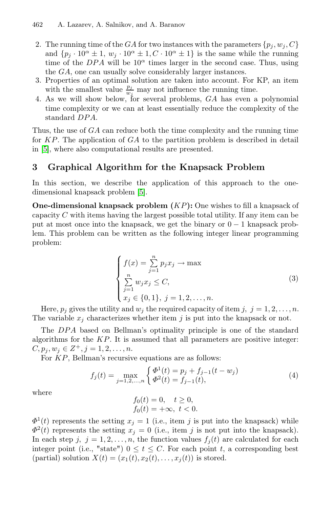#### 462 A. Lazarev, A. Salnikov, and A. Baranov

- 2. The running time of the GA for two instances with the parameters  $\{p_j, w_j, C\}$ and  $\{p_i \cdot 10^\alpha \pm 1, w_i \cdot 10^\alpha \pm 1, C \cdot 10^\alpha \pm 1\}$  is the same while the running time of the DPA will be  $10^{\alpha}$  times larger in the second case. Thus, using the GA, one can usually solve considerably larger instances.
- 3. Properties of an optimal solution are taken into account. For KP, an item with the smallest value  $\frac{p_j}{w_j}$  may not influence the running time.
- 4. As we will show below, for several problems, GA has even a polynomial time complexity or we can at least essentially reduce the complexity of the standard [D](#page-7-5)PA.

Thus, the use of GA can reduce both the time complexity and the running time for  $KP$ . The application of  $GA$  to the partition problem is described in detail in [5], where also computational results are presented.

### 3 Graphical Algorithm for the Knapsack Problem

In this section, we describe the application of this approach to the onedimensional knapsack problem [5].

**One-dimensional knapsack problem**  $(KP)$ **:** One wishes to fill a knapsack of capacity C with items having the largest possible total utility. If any item can be put at most once into the knapsack, we get the binary or  $0 - 1$  knapsack problem. This problem can be written as the following integer linear programming problem:

$$
\begin{cases}\nf(x) = \sum_{j=1}^{n} p_j x_j \to \max \\
\sum_{j=1}^{n} w_j x_j \le C, \\
x_j \in \{0, 1\}, \ j = 1, 2, \dots, n.\n\end{cases} \tag{3}
$$

Here,  $p_j$  gives the utility and  $w_j$  the required capacity of item j,  $j = 1, 2, \ldots, n$ . The variable  $x_i$  characterizes whether item j is put into the knapsack or not.

The DPA based on Bellman's optimality principle is one of the standard algorithms for the  $KP$ . It is assumed that all parameters are positive integer:  $C, p_j, w_j \in Z^+, j = 1, 2, \ldots, n.$ 

For KP, Bellman's recursive equations are as follows:

$$
f_j(t) = \max_{j=1,2,\dots,n} \left\{ \begin{matrix} \Phi^1(t) = p_j + f_{j-1}(t - w_j) \\ \Phi^2(t) = f_{j-1}(t), \end{matrix} \right. \tag{4}
$$

where

$$
f_0(t) = 0, \quad t \ge 0,
$$
  
\n $f_0(t) = +\infty, \ t < 0.$ 

 $\Phi^1(t)$  represents the setting  $x_j = 1$  (i.e., item j is put into the knapsack) while  $\Phi^2(t)$  represents the setting  $x_i = 0$  (i.e., item j is not put into the knapsack). In each step j,  $j = 1, 2, ..., n$ , the function values  $f_i(t)$  are calculated for each integer point (i.e., "state")  $0 \le t \le C$ . For each point t, a corresponding best (partial) solution  $X(t)=(x_1(t), x_2(t),\ldots, x_j(t))$  is stored.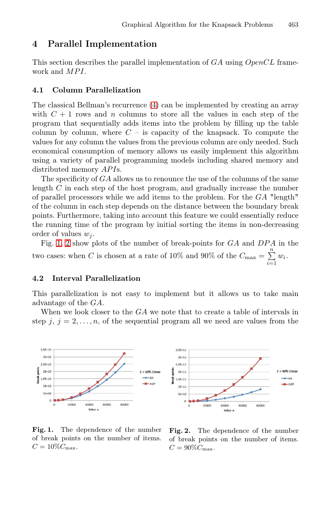# 4 Parallel Implementation

This section describes the parallel implementation of GA using OpenCL framework and MPI.

#### 4.1 Column Parallelization

The classical Bellman's recurrence (4) can be implemented by creating an array with  $C + 1$  rows and n columns to store all the values in each step of the program that sequentially adds items into the problem by filling up the table column by column, where  $C -$  is capacity of the knapsack. To compute the values for any column the values from the previous column are only needed. Such economical consumption of memory allows us easily implement this algorithm using a variety of parallel programming models including shared memory and distributed memory APIs.

The specificity of GA allows us to renounce the use of the columns of the same length C in each step of the host program, and gradually increase the number of parallel processors while we add items to the problem. For the  $GA$  "length" of the column in each step depends on the distance between the boundary break points. Furthermore, taking into account this feature we could essentially reduce the running time of the program by initial sorting the items in non-decreasing order of values  $w_i$ .

Fig. 1, 2 show plots of the number of break-points for GA and DPA in the two cases: when C is chosen at a rate of 10% and 90% of the  $C_{\text{max}} = \sum_{i=1}^{n} w_i$ .

#### 4.2 Interval Parallelization

This parallelization is not easy to implement but it allows us to take main advantage of the GA.

When we look closer to the GA we note that to create a table of intervals in step j,  $j = 2, \ldots, n$ , of the sequential program all we need are values from the



Fig. 1. The dependence of the number of break points on the number of items.  $C = 10\% C_{\text{max}}.$ 

Fig. 2. The dependence of the number of break points on the number of items.  $C = 90\% C_{\text{max}}.$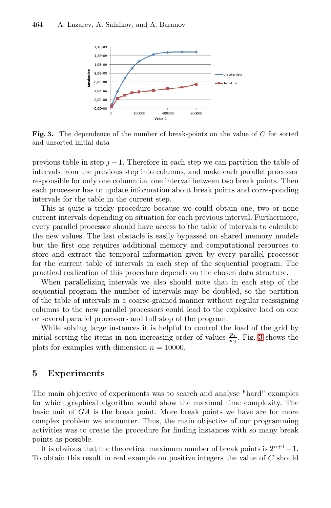#### <span id="page-5-0"></span>464 A. Lazarev, A. Salnikov, and A. Baranov



Fig. 3. The dependence of the number of break-points on the value of C for sorted and unsorted initial data

previous table in step  $j-1$ . Therefore in each step we can partition the table of intervals from the previous step into columns, and make each parallel processor responsible for only one column i.e. one interval between two break points. Then each processor has to update information about break points and corresponding intervals for the table in the current step.

This is quite a tricky procedure because we could obtain one, two or none current intervals depending on situation for each previous interval. Furthermore, every parallel processor should have access to the table of intervals to calculate the new values. The last obstacle is easily bypassed on shared memory models but the first one requires additional memory and computational resources to store and extract the temporal information given by every parallel processor for the current table of intervals in each step [of](#page-5-0) the sequential program. The practical realization of this procedure depends on the chosen data structure.

When parallelizing intervals we also should note that in each step of the sequential program the number of intervals may be doubled, so the partition of the table of intervals in a coarse-grained manner without regular reassigning columns to the new parallel processors could lead to the explosive load on one or several parallel processors and full stop of the program.

While solving large instances it is helpful to control the load of the grid by initial sorting the items in non-increasing order of values  $\frac{p_j}{w_j}$ . Fig. 3 shows the plots for examples with dimension  $n = 10000$ .

# 5 Experiments

The main objective of experiments was to search and analyse "hard" examples for which graphical algorithm would show the maximal time complexity. The basic unit of GA is the break point. More break points we have are for more complex problem we encounter. Thus, the main objective of our programming activities was to create the procedure for finding instances with so many break points as possible.

It is obvious that the theoretical maximum number of break points is  $2^{n+1}-1$ . To obtain this result in real example on positive integers the value of C should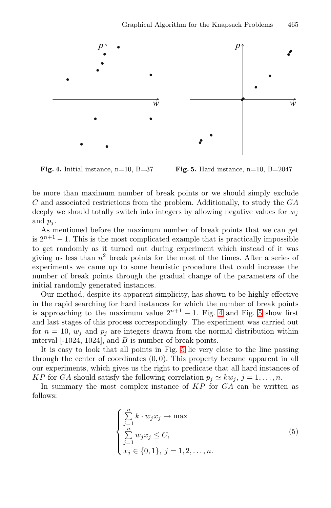<span id="page-6-0"></span>

Fig. 4. Initial instance, n=10, B=37 Fig. 5. Hard instance, n=10, B=2047

<span id="page-6-1"></span>

be more than maximum number of break points or we should simply exclude  $C$  and associated restrictions from the problem. Additionally, to study the  $GA$ deeply we should totally switch into integers by allowing negative values for  $w_i$ and  $p_i$ .

As mentioned before the maximum number of break points that we can get is  $2^{n+1} - 1$ . This is the most compli[cat](#page-6-0)ed exam[ple](#page-6-1) that is practically impossible to get randomly as it turned out during experiment which instead of it was giving us less than  $n^2$  break points for the most of the times. After a series of experiments we came up to some heuristic procedure that could increase the number of break points [th](#page-6-1)rough the gradual change of the parameters of the initial randomly generated instances.

Our method, despite its apparent simplicity, has shown to be highly effective in the rapid searching for hard instances for which the number of break points is approaching to the maximum value  $2^{n+1} - 1$ . Fig. 4 and Fig. 5 show first and last stages of this process correspondingly. The experiment was carried out for  $n = 10$ ,  $w_j$  and  $p_j$  are integers drawn from the normal distribution within interval [-1024, 1024], and B is number of break points.

It is easy to look that all points in Fig. 5 lie very close to the line passing through the center of coordinates  $(0, 0)$ . This property became apparent in all our experiments, which gives us the right to predicate that all hard instances of KP for GA should satisfy the following correlation  $p_j \simeq kw_j$ ,  $j = 1, \ldots, n$ .

In summary the most complex instance of  $KP$  for  $GA$  can be written as follows:

$$
\begin{cases}\n\sum_{j=1}^{n} k \cdot w_j x_j \to \max \\
\sum_{j=1}^{n} w_j x_j \le C, \\
x_j \in \{0, 1\}, j = 1, 2, \dots, n.\n\end{cases}
$$
\n(5)